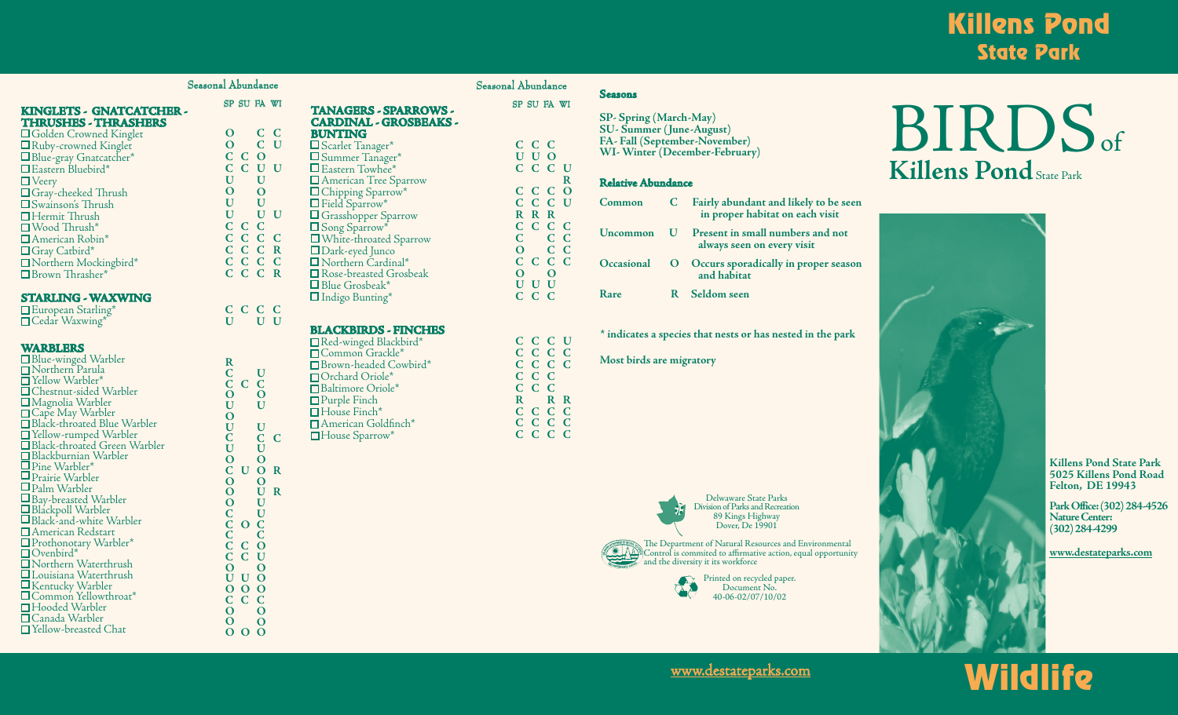## Killens Pond State Park

| KINGLETS - GNATCATCHER -    |  |
|-----------------------------|--|
| <b>THRUSHES - THRASHERS</b> |  |

| <b>OGolden Crowned Kinglet</b> |
|--------------------------------|
| □ Ruby-crowned Kinglet         |
| $\Box$ Blue-gray Gnatcatcher*  |
| Eastern Bluebird*              |
| $\Box$ Veery                   |
| $\Box$ Gray-cheeked Thrush     |
| $\square$ Swainson's Thrush    |
| $\Box$ Hermit Thrush           |
| $\Box$ Wood Thrush*            |
| □ American Robin*              |
| □ Gray Catbird*                |
| Northern Mockingbird*          |
| Brown Thrasher*                |

#### **STARLING - WAXWING**

European Starling\* ■Cedar Waxwing\*

#### **WARBLERS**

□ Blue-winged Warbler<br>□ Northern Parula  $\Box$  Yellow Warbler\* Chestnut-sided Warbler Magnolia Warbler ■Cape May Warbler Black-throated Blue Warbler Yellow-rumped Warbler Black-throated Green Warbler Blackburnian Warbler Pine Warbler\* Prairie Warbler Palm Warbler  $\square$  Bay-breasted Warbler<br> $\square$  Blackpoll Warbler  $\square$  Black-and-white Warbler American Redstart Prothonotary Warbler\* Ovenbird\* Northern Waterthrush Louisiana Waterthrush Kentucky Warbler Common Yellowthroat\* Hooded Warbler Canada Warbler Yellow-breasted Chat

**R C O U O U C U O C O O O C C C**

**O C C C O C C U U U O O O O C C C**

**C**

**O**

**O O**

**O O O**

**O**

**O O**

| Seasonal Abundance                                                       |                                                               | Seasonal Abundance                                                |
|--------------------------------------------------------------------------|---------------------------------------------------------------|-------------------------------------------------------------------|
| SP SU FA WI                                                              | <b>TANAGERS - SPARROWS -</b><br><b>CARDINAL - GROSBEAKS -</b> | SP SU FA WI                                                       |
| $C$ $C$<br>$\mathbf O$                                                   | <b>BUNTING</b>                                                |                                                                   |
| $C$ $U$<br>$\mathbf{O}$                                                  | □ Scarlet Tanager*                                            | C C C                                                             |
| $C$ $C$ $O$                                                              | $\mathbf{\underline{D}}$ Summer Tanager*                      | U U O                                                             |
| C C U U                                                                  | Eastern Towhee*                                               | C C C U                                                           |
| $\mathbf U$<br>$\mathbf U$                                               | American Tree Sparrow                                         | $\mathbf R$                                                       |
| $\mathbf{O}$<br>$\mathbf O$                                              | Chipping Sparrow*                                             | C <sub>o</sub><br>C C                                             |
| $\mathbf U$<br>${\bf U}$                                                 | Field Sparrow*                                                | CCCU                                                              |
| $\mathbf U$<br>$U$ $U$                                                   | $\Box$ Grasshopper Sparrow                                    | R R R                                                             |
| C C C                                                                    | $\mathbf{\underline{O}}$ Song Sparrow*                        | C C C C                                                           |
| C C C C                                                                  | □ White-throated Sparrow                                      | $C$ $C$<br>$\overline{\mathbf{C}}$                                |
| C C C R                                                                  | □ Dark-eyed Junco                                             | $C$ $C$<br>$\overline{O}$                                         |
| C C C C                                                                  | Northern Cardinal*                                            | $C$ $C$<br>$C$ $C$                                                |
| C C C R                                                                  | $\Box$ Rose-breasted Grosbeak                                 | $\overline{O}$<br>$\mathbf O$                                     |
|                                                                          | $\Box$ Blue Grosbeak*                                         | U U U                                                             |
|                                                                          | $\Box$ Indigo Bunting*                                        | $C$ $C$<br>$\mathbf C$                                            |
| C C C C                                                                  |                                                               |                                                                   |
| U<br>$U$ $U$                                                             |                                                               |                                                                   |
|                                                                          | <b>BLACKBIRDS - FINCHES</b>                                   |                                                                   |
|                                                                          | Red-winged Blackbird*                                         | C C C U                                                           |
|                                                                          | □ Common Grackle*                                             | C C C C                                                           |
| $\bf{R}$<br>$\mathbf C$<br>U                                             | □ Brown-headed Cowbird*                                       | C C C C                                                           |
| $\mathbf C$<br>$\mathbf C$<br>$\mathbf C$                                | $\Box$ Orchard Oriole*                                        | C C C                                                             |
| $\mathbf O$<br>$\mathbf O$                                               | Baltimore Oriole*                                             | C C C                                                             |
| U<br>$\bf U$                                                             | $\Box$ Purple Finch                                           | $\mathbf R$<br>R R                                                |
| $\mathbf O$                                                              | □House Finch*                                                 | C C C C                                                           |
| $\mathbf U$<br>$\mathbf U$                                               | □ American Goldfinch*                                         | C C C C                                                           |
| $C$ $C$<br>$\overline{C}$                                                | House Sparrow*                                                | $\overline{C}$<br>$\overline{C}$<br>$\overline{C}$<br>$\mathbf C$ |
| $\mathbf U$<br>$\bf U$                                                   |                                                               |                                                                   |
| $\mathbf{O}$<br>$\mathbf{O}$                                             |                                                               |                                                                   |
| C U O R                                                                  |                                                               |                                                                   |
| $\mathbf O$<br>$\mathbf{O}$                                              |                                                               |                                                                   |
| U R<br>$\mathbf O$                                                       |                                                               |                                                                   |
| $\mathbf U$<br>$\mathbf O$                                               |                                                               |                                                                   |
| $\overline{\mathbf{C}}$<br>$\bf U$<br>$\mathcal{C}$<br>$\Omega$ $\Gamma$ |                                                               |                                                                   |
|                                                                          |                                                               |                                                                   |

#### Seasonal Abundance SU FA WI

**R**

**SP- Spring (March-May) SU- Summer (June-August) FA- Fall (September-November) WI- Winter (December-February)** 

#### **Relative Abundance**

**Seasons**

| Common     | C. | Fairly abundant and likely to be seen<br>in proper habitat on each visit |
|------------|----|--------------------------------------------------------------------------|
| Uncommon   |    | U Present in small numbers and not<br>always seen on every visit         |
| Occasional |    | O Occurs sporadically in proper season<br>and habitat                    |
| Rare       |    | R Seldom seen                                                            |

**\* indicates a species that nests or has nested in the park**

**Most birds are migratory**



Delwaware State Parks Division of Parks and Recreation 89 Kings Highway Dover, De 19901

The Department of Natural Resources and Environmental **Control is a control is control is committed** to affirmative action, equal opportunity **Control is control is committed to affirmative action, equal opportunity** and the diversity it its workforce



# BIRDS<sub>of</sub> **Killens Pond** State Park



**Killens Pond State Park 5025 Killens Pond Road Felton, DE 19943**

**Park Office: (302)284-4526 Nature Center: (302) 284-4299**